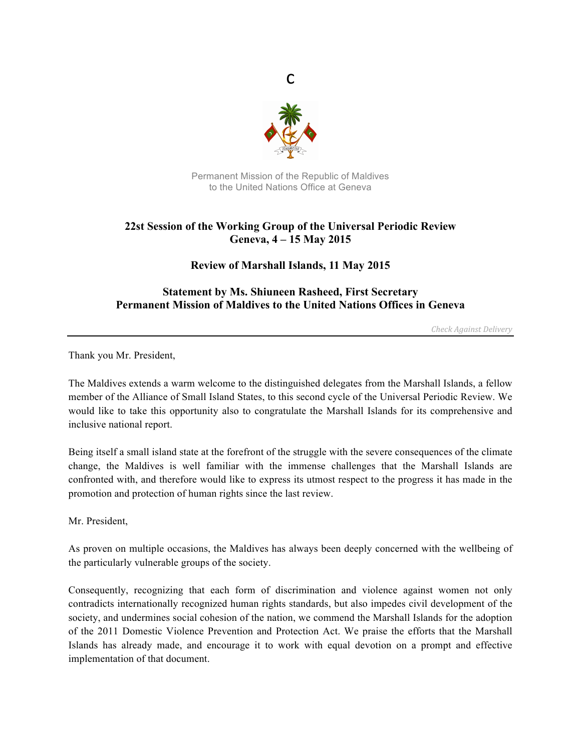

c

Permanent Mission of the Republic of Maldives to the United Nations Office at Geneva

## **22st Session of the Working Group of the Universal Periodic Review Geneva, 4 – 15 May 2015**

**Review of Marshall Islands, 11 May 2015**

## **Statement by Ms. Shiuneen Rasheed, First Secretary Permanent Mission of Maldives to the United Nations Offices in Geneva**

*Check Against Delivery*

Thank you Mr. President,

The Maldives extends a warm welcome to the distinguished delegates from the Marshall Islands, a fellow member of the Alliance of Small Island States, to this second cycle of the Universal Periodic Review. We would like to take this opportunity also to congratulate the Marshall Islands for its comprehensive and inclusive national report.

Being itself a small island state at the forefront of the struggle with the severe consequences of the climate change, the Maldives is well familiar with the immense challenges that the Marshall Islands are confronted with, and therefore would like to express its utmost respect to the progress it has made in the promotion and protection of human rights since the last review.

Mr. President,

As proven on multiple occasions, the Maldives has always been deeply concerned with the wellbeing of the particularly vulnerable groups of the society.

Consequently, recognizing that each form of discrimination and violence against women not only contradicts internationally recognized human rights standards, but also impedes civil development of the society, and undermines social cohesion of the nation, we commend the Marshall Islands for the adoption of the 2011 Domestic Violence Prevention and Protection Act. We praise the efforts that the Marshall Islands has already made, and encourage it to work with equal devotion on a prompt and effective implementation of that document.